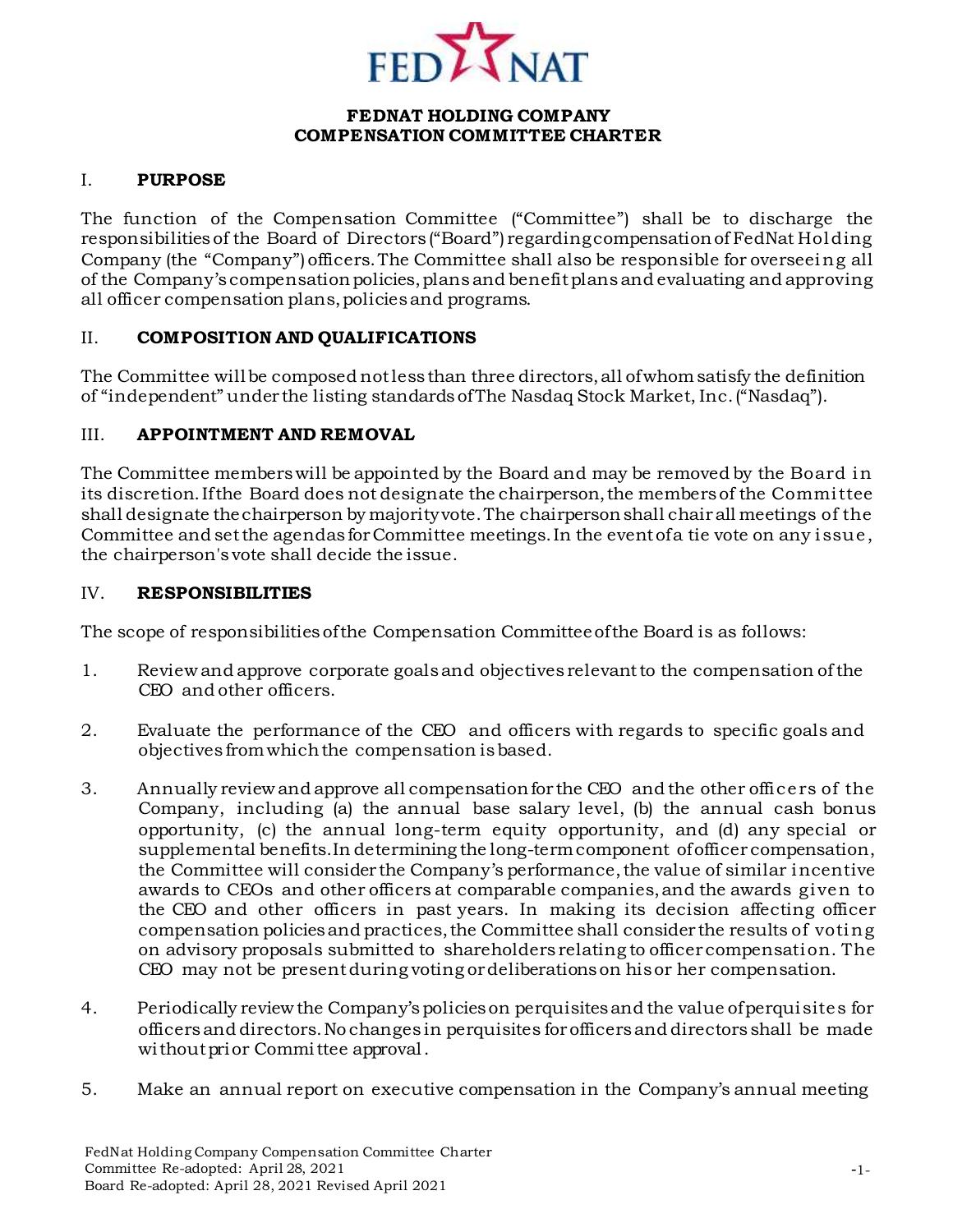

## **FEDNAT HOLDING COMPANY COMPENSATION COMMITTEE CHARTER**

## I. **PURPOSE**

The function of the Compensation Committee ("Committee") shall be to discharge the responsibilitiesof the Board of Directors ("Board") regardingcompensationof FedNat Holding Company (the "Company")officers.The Committee shall also be responsible for overseeing all of the Company's compensation policies, plans and benefit plans and evaluating and approving all officer compensation plans,policiesand programs.

#### II. **COMPOSITION AND QUALIFICATIONS**

The Committee willbe composed notlessthan three directors,all ofwhomsatisfy the definition of "independent" under the listing standardsofThe Nasdaq Stock Market, Inc.("Nasdaq").

## III. **APPOINTMENT AND REMOVAL**

The Committee memberswill be appointed by the Board and may be removed by the Board in its discretion.Ifthe Board does not designate the chairperson,the membersof the Committee shall designate thechairperson by majorityvote.The chairpersonshall chairall meetings of the Committee and setthe agendas forCommittee meetings.In the eventofa tie vote on any issue, the chairperson's vote shall decide the issue.

#### IV. **RESPONSIBILITIES**

The scope of responsibilities ofthe Compensation Committeeofthe Board is as follows:

- 1. Review and approve corporate goalsand objectives relevantto the compensation ofthe CEO and other officers.
- 2. Evaluate the performance of the CEO and officers with regards to specific goals and objectives fromwhichthe compensation isbased.
- 3. Annually reviewand approve all compensationfor the CEO and the other officers of the Company, including (a) the annual base salary level, (b) the annual cash bonus opportunity, (c) the annual long-term equity opportunity, and (d) any special or supplemental benefits.In determining the long-termcomponent ofofficer compensation, the Committee will consider the Company's performance, the value of similar incentive awards to CEOs and other officers at comparable companies,and the awards given to the CEO and other officers in past years. In making its decision affecting officer compensation policies and practices, the Committee shall consider the results of voting on advisory proposals submitted to shareholders relating to officer compensation. The CEO may not be presentduring voting ordeliberationson hisor her compensation.
- 4. Periodically reviewthe Company'spolicieson perquisitesand the value ofperquisites for officersand directors.No changes in perquisites forofficersand directors shall be made without prior Committee approval.
- 5. Make an annual report on executive compensation in the Company's annual meeting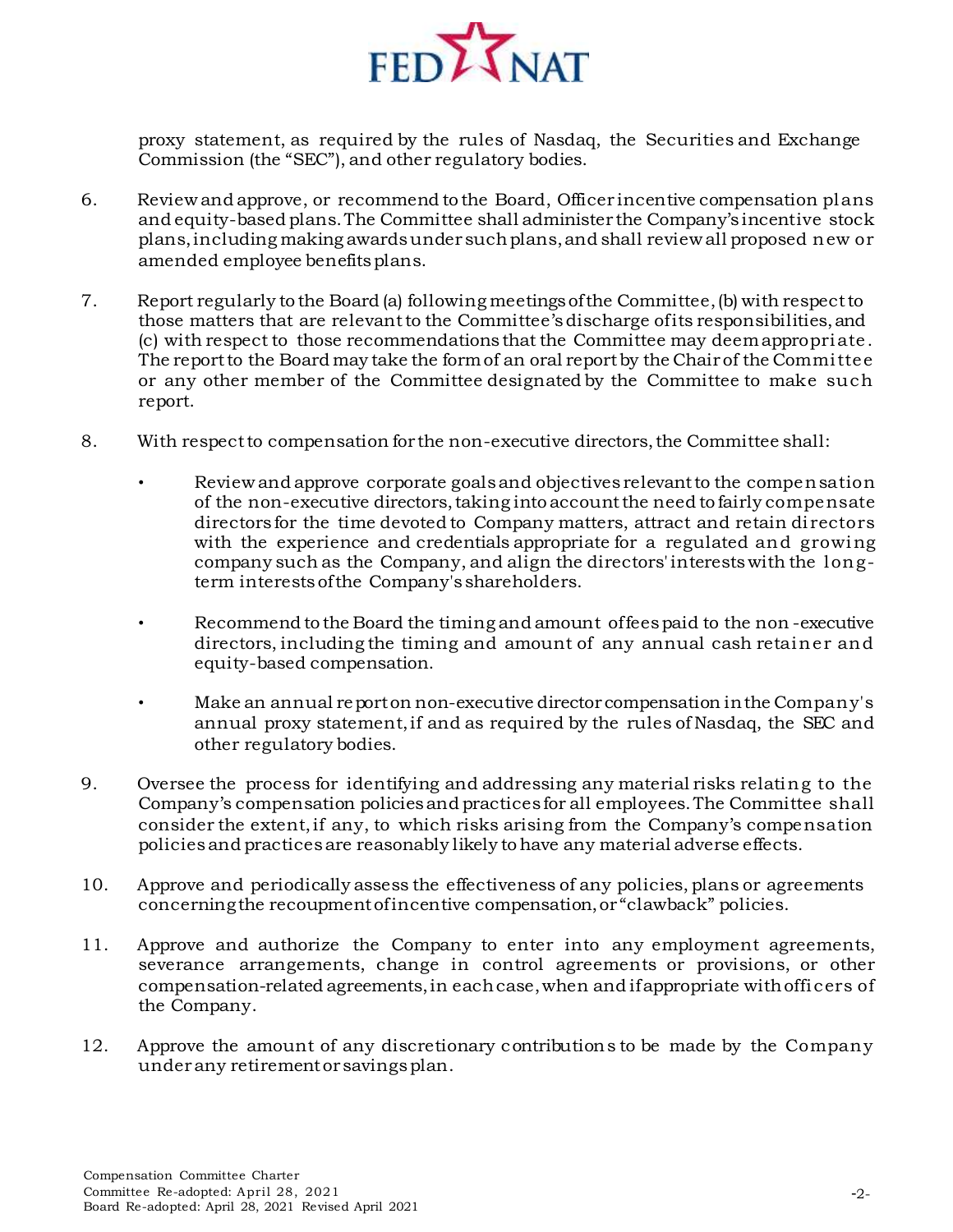

proxy statement, as required by the rules of Nasdaq, the Securities and Exchange Commission (the "SEC"), and other regulatory bodies.

- 6. Review and approve, or recommend to the Board, Officer incentive compensation plans and equity-based plans.The Committee shall administer the Company's incentive stock plans,including making awardsunder suchplans,and shall review all proposed new or amended employee benefits plans.
- 7. Report regularly to the Board (a) following meetingsofthe Committee,(b) with respectto those matters that are relevantto the Committee'sdischarge ofits responsibilities,and (c) with respect to those recommendations that the Committee may deemappropriate. The report to the Board may take the form of an oral report by the Chair of the Committee or any other member of the Committee designated by the Committee to make such report.
- 8. With respectto compensation for the non-executive directors,the Committee shall:
	- Review and approve corporate goals and objectives relevant to the compensation of the non-executive directors,taking into accountthe need to fairly compensate directors for the time devoted to Company matters, attract and retain directors with the experience and credentials appropriate for a regulated and growing company such as the Company, and align the directors'interestswith the longterm interestsofthe Company's shareholders.
	- Recommend to the Board the timing and amount offeespaid to the non -executive directors, including the timing and amount of any annual cash retainer and equity-based compensation.
	- Make an annual reporton non-executive director compensation inthe Company's annual proxy statement,if and as required by the rules of Nasdaq, the SEC and other regulatory bodies.
- 9. Oversee the process for identifying and addressing any material risks relating to the Company's compensation policiesand practices for all employees.The Committee shall consider the extent,if any, to which risks arising from the Company's compensation policiesand practicesare reasonably likely tohave any material adverse effects.
- 10. Approve and periodically assess the effectiveness of any policies, plans or agreements concerningthe recoupmentofincentive compensation,or "clawback" policies.
- 11. Approve and authorize the Company to enter into any employment agreements, severance arrangements, change in control agreements or provisions, or other compensation-related agreements,in eachcase,when and ifappropriate withofficers of the Company.
- 12. Approve the amount of any discretionary contributions to be made by the Company under any retirement or savings plan.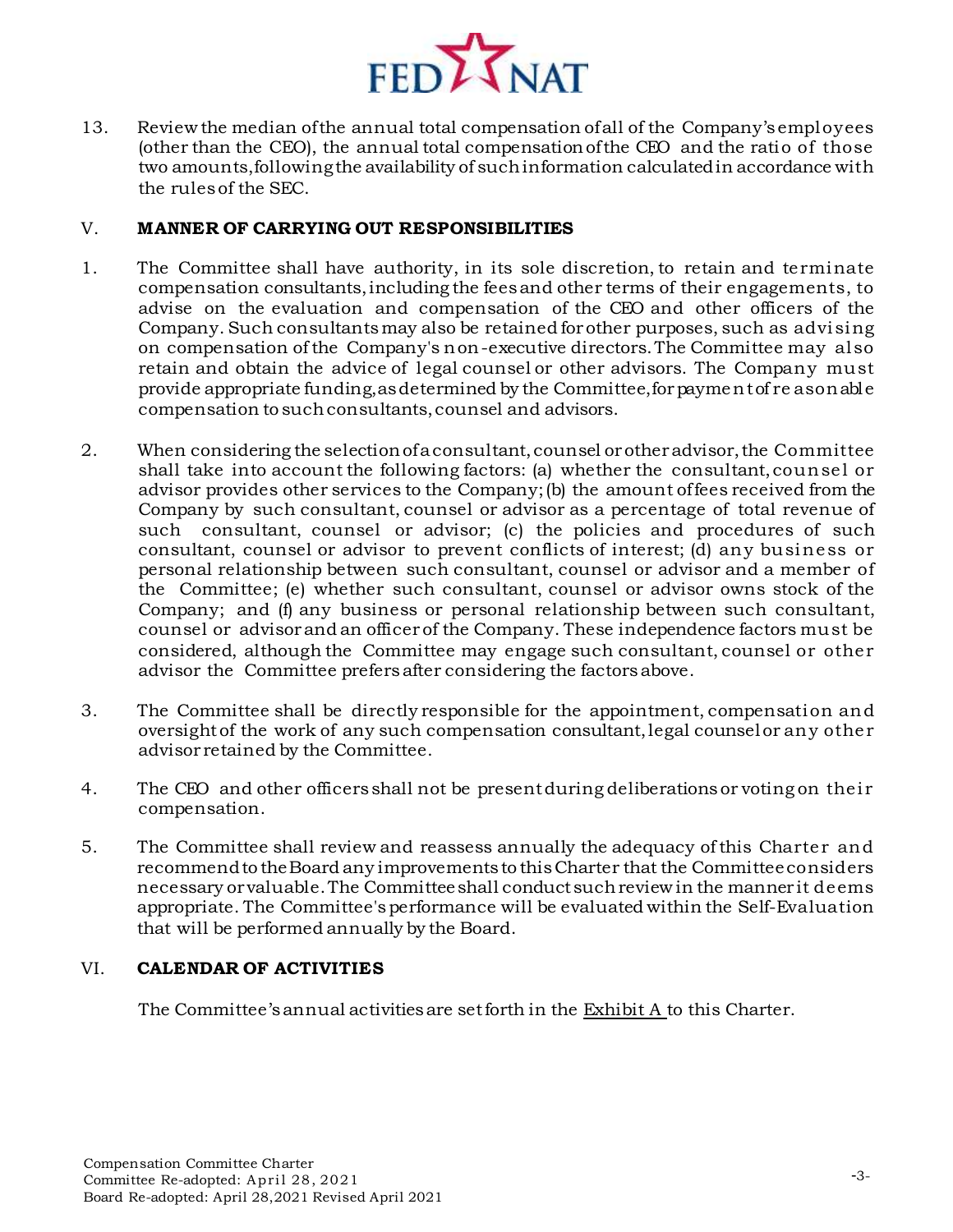

13. Review the median ofthe annual total compensation ofall of the Company's employees (other than the CEO), the annual total compensationofthe CEO and the ratio of those two amounts,followingthe availability of suchinformation calculatedin accordance with the rulesof the SEC.

### V. **MANNER OF CARRYING OUT RESPONSIBILITIES**

- 1. The Committee shall have authority, in its sole discretion, to retain and terminate compensation consultants,including the feesand other terms of their engagements, to advise on the evaluation and compensation of the CEO and other officers of the Company. Such consultantsmay also be retained forother purposes, such as advising on compensation ofthe Company's non-executive directors.The Committee may also retain and obtain the advice of legal counsel or other advisors. The Company must provide appropriate funding,asdetermined by the Committee,forpaymentof re asonable compensation to suchconsultants,counsel and advisors.
- 2. When considering the selectionofaconsultant,counsel orotheradvisor,the Committee shall take into account the following factors: (a) whether the consultant,counsel or advisor provides other services to the Company;(b) the amount offees received from the Company by such consultant, counsel or advisor as a percentage of total revenue of such consultant, counsel or advisor; (c) the policies and procedures of such consultant, counsel or advisor to prevent conflicts of interest; (d) any business or personal relationship between such consultant, counsel or advisor and a member of the Committee; (e) whether such consultant, counsel or advisor owns stock of the Company; and (f) any business or personal relationship between such consultant, counsel or advisorand an officer of the Company. These independence factors must be considered, although the Committee may engage such consultant, counsel or other advisor the Committee prefersafter considering the factorsabove.
- 3. The Committee shall be directly responsible for the appointment, compensation and oversightof the work of any such compensation consultant,legal counselor any other advisor retained by the Committee.
- 4. The CEO and other officers shall not be presentduring deliberationsor voting on their compensation.
- 5. The Committee shall review and reassess annually the adequacy ofthis Charter and recommendto theBoard any improvements to thisCharter that the Committeeconsiders necessary or valuable.The Committeeshall conductsuchreviewin the manner it deems appropriate. The Committee'sperformance will be evaluated within the Self-Evaluation that will be performed annually by the Board.

## VI. **CALENDAR OF ACTIVITIES**

The Committee'sannual activitiesare setforth in the Exhibit A to this Charter.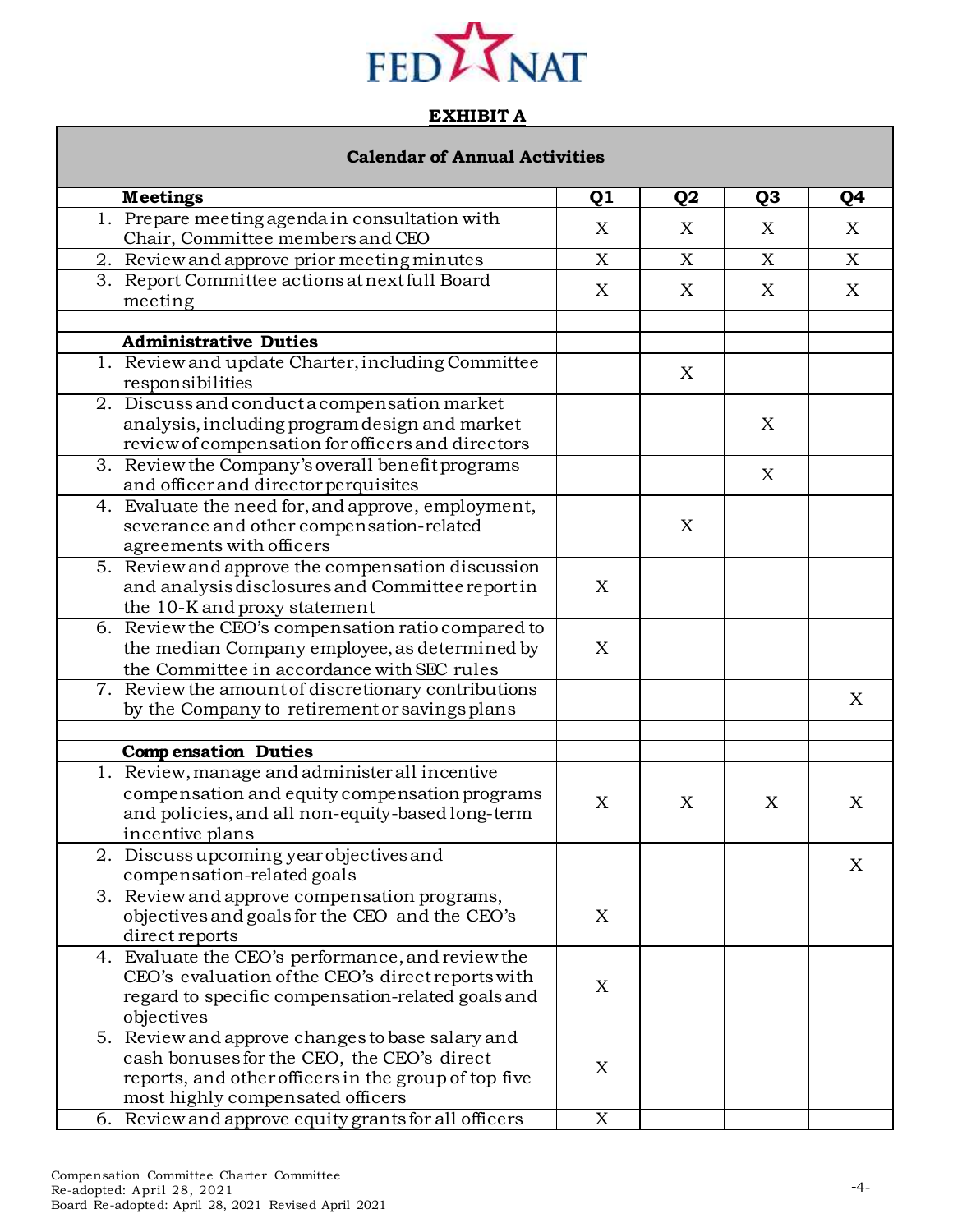

# **EXHIBIT A**

# **Calendar of Annual Activities**

| <b>Meetings</b>                                                                                                                                                                            | Q <sub>1</sub> | Q <sub>2</sub> | Q <sub>3</sub> | Q4          |
|--------------------------------------------------------------------------------------------------------------------------------------------------------------------------------------------|----------------|----------------|----------------|-------------|
| 1. Prepare meeting agenda in consultation with<br>Chair, Committee members and CEO                                                                                                         | X              | X              | X              | X           |
| 2. Review and approve prior meeting minutes                                                                                                                                                | X              | X              | X              | X           |
| 3. Report Committee actions at next full Board<br>meeting                                                                                                                                  | X              | X              | X              | X           |
|                                                                                                                                                                                            |                |                |                |             |
| <b>Administrative Duties</b>                                                                                                                                                               |                |                |                |             |
| 1. Review and update Charter, including Committee<br>responsibilities                                                                                                                      |                | X              |                |             |
| 2. Discuss and conduct a compensation market<br>analysis, including program design and market<br>review of compensation for officers and directors                                         |                |                | X              |             |
| 3. Review the Company's overall benefit programs<br>and officer and director perquisites                                                                                                   |                |                | X              |             |
| 4. Evaluate the need for, and approve, employment,<br>severance and other compensation-related<br>agreements with officers                                                                 |                | X              |                |             |
| 5. Review and approve the compensation discussion<br>and analysis disclosures and Committee report in<br>the 10-K and proxy statement                                                      | X              |                |                |             |
| 6. Review the CEO's compensation ratio compared to<br>the median Company employee, as determined by<br>the Committee in accordance with SEC rules                                          | X              |                |                |             |
| 7. Review the amount of discretionary contributions<br>by the Company to retirement or savings plans                                                                                       |                |                |                | X           |
|                                                                                                                                                                                            |                |                |                |             |
| <b>Compensation Duties</b>                                                                                                                                                                 |                |                |                |             |
| 1. Review, manage and administer all incentive<br>compensation and equity compensation programs<br>and policies, and all non-equity-based long-term<br>incentive plans                     | X              | X              | X              | X           |
| 2. Discuss upcoming year objectives and<br>compensation-related goals                                                                                                                      |                |                |                | $\mathbf X$ |
| 3. Review and approve compensation programs,<br>objectives and goals for the CEO and the CEO's<br>direct reports                                                                           | X              |                |                |             |
| 4. Evaluate the CEO's performance, and review the<br>CEO's evaluation of the CEO's direct reports with<br>regard to specific compensation-related goals and<br>objectives                  | X              |                |                |             |
| 5. Review and approve changes to base salary and<br>cash bonuses for the CEO, the CEO's direct<br>reports, and other officers in the group of top five<br>most highly compensated officers | X              |                |                |             |
| 6. Review and approve equity grants for all officers                                                                                                                                       | X              |                |                |             |